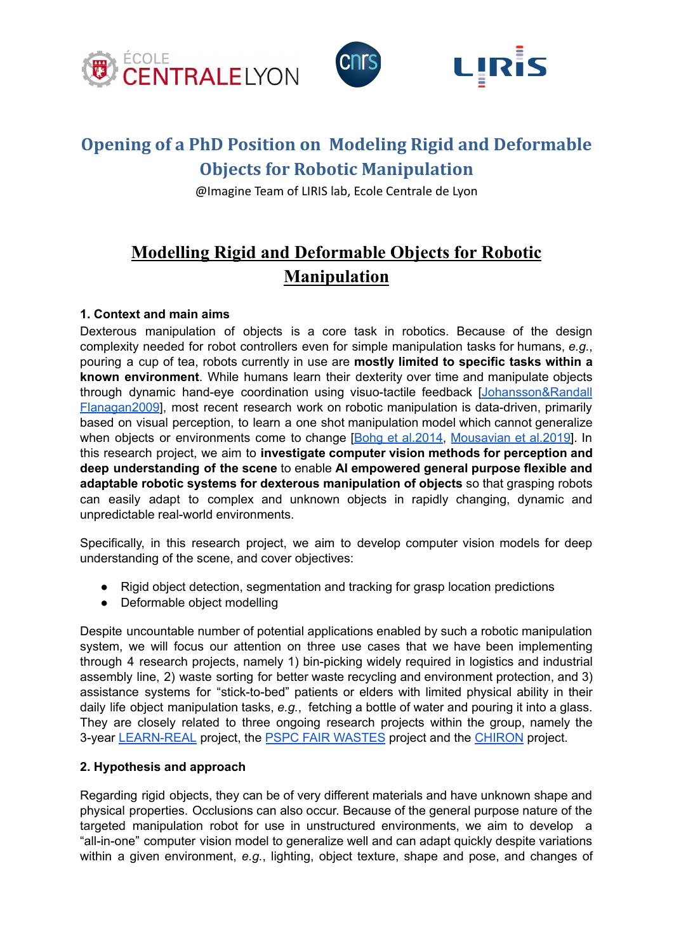

# **Opening of a PhD Position on Modeling Rigid and Deformable Objects for Robotic Manipulation**

@Imagine Team of LIRIS lab, Ecole Centrale de Lyon

## **Modelling Rigid and Deformable Objects for Robotic Manipulation**

### **1. Context and main aims**

Dexterous manipulation of objects is a core task in robotics. Because of the design complexity needed for robot controllers even for simple manipulation tasks for humans, *e.g.*, pouring a cup of tea, robots currently in use are **mostly limited to specific tasks within a known environment**. While humans learn their dexterity over time and manipulate objects through dynamic hand-eye coordination using visuo-tactile feedback [\[Johansson&Randall](https://doi.org/10.1038/nrn2621) [Flanagan2009](https://doi.org/10.1038/nrn2621)], most recent research work on robotic manipulation is data-driven, primarily based on visual perception, to learn a one shot manipulation model which cannot generalize when objects or environments come to change [Bohg et [al.2014,](https://doi.org/10.1109/TRO.2013.2289018) [Mousavian](https://openaccess.thecvf.com/content_ICCV_2019/papers/Mousavian_6-DOF_GraspNet_Variational_Grasp_Generation_for_Object_Manipulation_ICCV_2019_paper.pdf) et al.2019]. In this research project, we aim to **investigate computer vision methods for perception and deep understanding of the scene** to enable **AI empowered general purpose flexible and adaptable robotic systems for dexterous manipulation of objects** so that grasping robots can easily adapt to complex and unknown objects in rapidly changing, dynamic and unpredictable real-world environments.

Specifically, in this research project, we aim to develop computer vision models for deep understanding of the scene, and cover objectives:

- Rigid object detection, segmentation and tracking for grasp location predictions
- Deformable object modelling

Despite uncountable number of potential applications enabled by such a robotic manipulation system, we will focus our attention on three use cases that we have been implementing through 4 research projects, namely 1) bin-picking widely required in logistics and industrial assembly line, 2) waste sorting for better waste recycling and environment protection, and 3) assistance systems for "stick-to-bed" patients or elders with limited physical ability in their daily life object manipulation tasks, *e.g.*, fetching a bottle of water and pouring it into a glass. They are closely related to three ongoing research projects within the group, namely the 3-year [LEARN-REAL](https://learn-real.eu) project, the PSPC FAIR [WASTES](https://www.bpifrance.fr/content/download/125755/1005328/version/1/file/laur%C3%A9ats%20PSPC%20r%C3%A9gions%20V4.pdf) project and the [CHIRON](https://docs.google.com/presentation/d/1Knf8tuHwX0bvRspd2WiUIG3LwQN54dyLafKra9OCCnA/edit?usp=sharing) project.

#### **2. Hypothesis and approach**

Regarding rigid objects, they can be of very different materials and have unknown shape and physical properties. Occlusions can also occur. Because of the general purpose nature of the targeted manipulation robot for use in unstructured environments, we aim to develop a "all-in-one" computer vision model to generalize well and can adapt quickly despite variations within a given environment, *e.g.*, lighting, object texture, shape and pose, and changes of